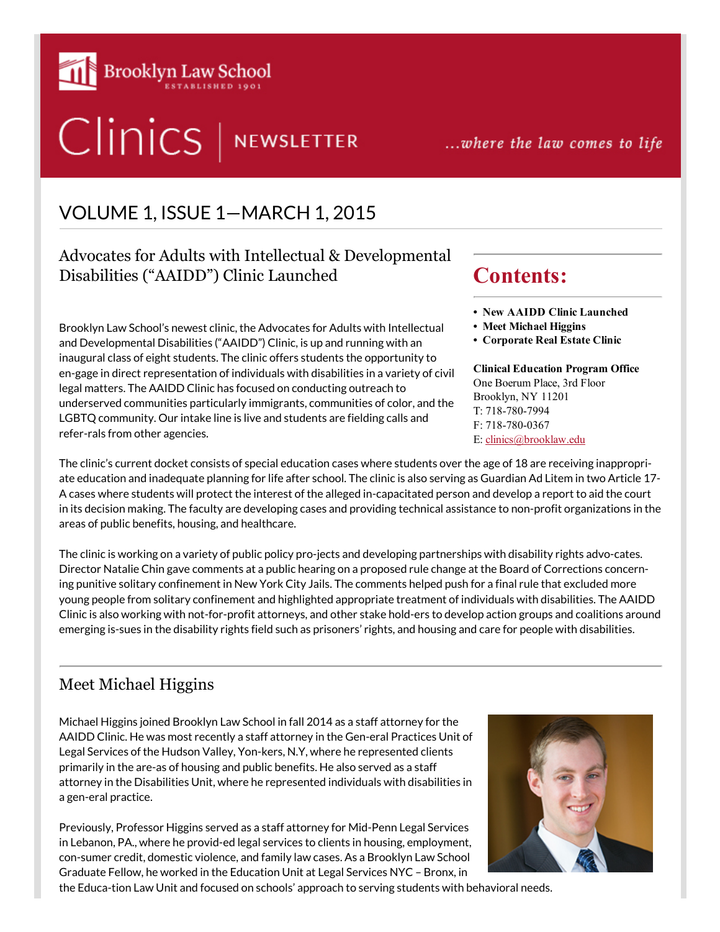

# Clinics | NEWSLETTER

...where the law comes to life

• New AAIDD Clinic Launched

Clinical Education Program Office One Boerum Place, 3rd Floor Brooklyn, NY 11201 T: 718-780-7994 F: 718-780-0367 E: [clinics@brooklaw.edu](mailto:clinics@brooklaw.edu)

Contents:

• Meet Michael Higgins • Corporate Real Estate Clinic

## VOLUME 1, ISSUE 1—MARCH 1, 2015

## Advocates for Adults with Intellectual & Developmental Disabilities ("AAIDD") Clinic Launched

Brooklyn Law School's newest clinic, the Advocates for Adults with Intellectual and Developmental Disabilities ("AAIDD") Clinic, is up and running with an inaugural class of eight students. The clinic offers students the opportunity to en-gage in direct representation of individuals with disabilities in a variety of civil legal matters. The AAIDD Clinic has focused on conducting outreach to underserved communities particularly immigrants, communities of color, and the LGBTQ community. Our intake line is live and students are fielding calls and refer-rals from other agencies.

#### The clinic's current docket consists of special education cases where students over the age of 18 are receiving inappropriate education and inadequate planning for life after school. The clinic is also serving as Guardian Ad Litem in two Article 17- A cases where students will protect the interest of the alleged in-capacitated person and develop a report to aid the court in its decision making. The faculty are developing cases and providing technical assistance to non-profit organizations in the areas of public benefits, housing, and healthcare.

The clinic is working on a variety of public policy pro-jects and developing partnerships with disability rights advo-cates. Director Natalie Chin gave comments at a public hearing on a proposed rule change at the Board of Corrections concerning punitive solitary confinement in New York City Jails. The comments helped push for a final rule that excluded more young people from solitary confinement and highlighted appropriate treatment of individuals with disabilities. The AAIDD Clinic is also working with not-for-profit attorneys, and other stake hold-ers to develop action groups and coalitions around emerging is-sues in the disability rights field such as prisoners' rights, and housing and care for people with disabilities.

## Meet Michael Higgins

Michael Higgins joined Brooklyn Law School in fall 2014 as a staff attorney for the AAIDD Clinic. He was most recently a staff attorney in the Gen-eral Practices Unit of Legal Services of the Hudson Valley, Yon-kers, N.Y, where he represented clients primarily in the are-as of housing and public benefits. He also served as a staff attorney in the Disabilities Unit, where he represented individuals with disabilities in a gen-eral practice.

Previously, Professor Higgins served as a staff attorney for Mid-Penn Legal Services in Lebanon, PA., where he provid-ed legal services to clients in housing, employment, con-sumer credit, domestic violence, and family law cases. As a Brooklyn Law School Graduate Fellow, he worked in the Education Unit at Legal Services NYC – Bronx, in

the Educa-tion Law Unit and focused on schools' approach to serving students with behavioral needs.